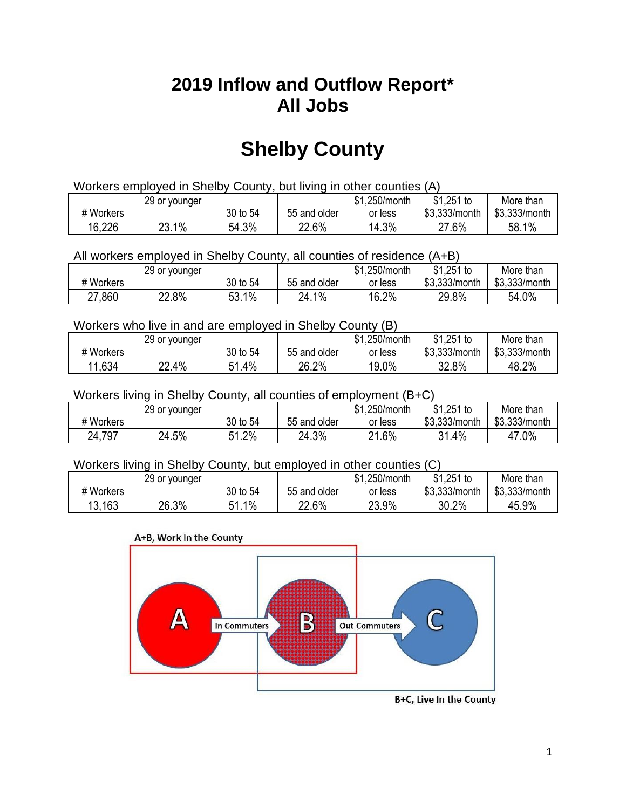## **2019 Inflow and Outflow Report\* All Jobs**

# **Shelby County**

| Workers employed in Shelby County, but living in other counties (A) |                                                           |          |              |         |               |               |  |  |  |
|---------------------------------------------------------------------|-----------------------------------------------------------|----------|--------------|---------|---------------|---------------|--|--|--|
|                                                                     | \$1.251 to<br>\$1.250/month<br>More than<br>29 or younger |          |              |         |               |               |  |  |  |
| # Workers                                                           |                                                           | 30 to 54 | 55 and older | or less | \$3.333/month | \$3,333/month |  |  |  |
| 16,226                                                              | 23.1%                                                     | 54.3%    | 22.6%        | 14.3%   | 27.6%         | 58.1%         |  |  |  |

All workers employed in Shelby County, all counties of residence (A+B)

|           | 29 or younger |          |              | \$1,250/month | $$1,251$ to   | More than     |
|-----------|---------------|----------|--------------|---------------|---------------|---------------|
| # Workers |               | 30 to 54 | 55 and older | or less       | \$3,333/month | \$3,333/month |
| 27,860    | 22.8%         | 53.1%    | 24.1%        | 16.2%         | 29.8%         | 54.0%         |

#### Workers who live in and are employed in Shelby County (B)

|           | 29 or younger |             |              | \$1,250/month | $$1,251$ to   | More than     |
|-----------|---------------|-------------|--------------|---------------|---------------|---------------|
| # Workers |               | 30 to 54    | 55 and older | or less       | \$3,333/month | \$3,333/month |
| 11,634    | 22.4%         | 51.4%<br>54 | 26.2%        | 19.0%         | 32.8%         | 48.2%         |

#### Workers living in Shelby County, all counties of employment (B+C)

|           | 29 or younger |            |              | \$1,250/month | \$1,251 to    | More than     |
|-----------|---------------|------------|--------------|---------------|---------------|---------------|
| # Workers |               | 30 to 54   | 55 and older | or less       | \$3,333/month | \$3,333/month |
| 24,797    | 24.5%         | 1.2%<br>51 | 24.3%        | 21.6%         | 31.4%         | 47.0%         |

#### Workers living in Shelby County, but employed in other counties (C)

|           | 29 or younger |              |              | \$1,250/month | $$1,251$ to   | More than     |
|-----------|---------------|--------------|--------------|---------------|---------------|---------------|
| # Workers |               | 30 to 54     | 55 and older | or less       | \$3,333/month | \$3,333/month |
| 13.163    | 26.3%         | $1\%$<br>E 1 | 22.6%        | 23.9%         | 30.2%         | 45.9%         |





B+C, Live In the County